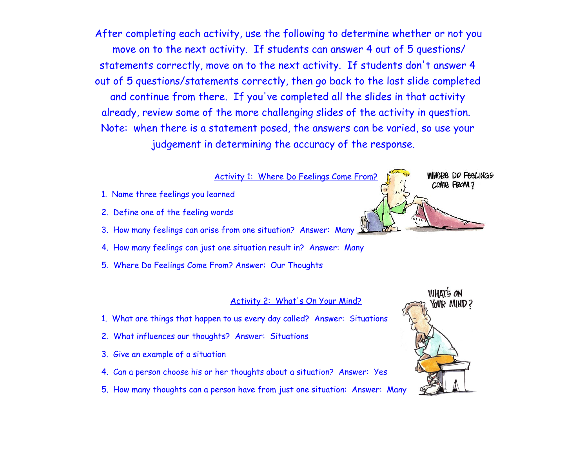After completing each activity, use the following to determine whether or not you move on to the next activity. If students can answer 4 out of 5 questions/ statements correctly, move on to the next activity. If students don't answer 4 out of 5 questions/statements correctly, then go back to the last slide completed and continue from there. If you've completed all the slides in that activity already, review some of the more challenging slides of the activity in question. Note: when there is a statement posed, the answers can be varied, so use your judgement in determining the accuracy of the response.

#### Activity 1: Where Do Feelings Come From?

- 1. Name three feelings you learned
- 2. Define one of the feeling words
- 3. How many feelings can arise from one situation? Answer: Many
- 4. How many feelings can just one situation result in? Answer: Many
- 5. Where Do Feelings Come From? Answer: Our Thoughts

#### Activity 2: What's On Your Mind?

- 1. What are things that happen to us every day called? Answer: Situations
- 2. What influences our thoughts? Answer: Situations
- 3. Give an example of a situation
- 4. Can a person choose his or her thoughts about a situation? Answer: Yes
- 5. How many thoughts can a person have from just one situation: Answer: Many



WHORE DO FEELINGS

COME FROM?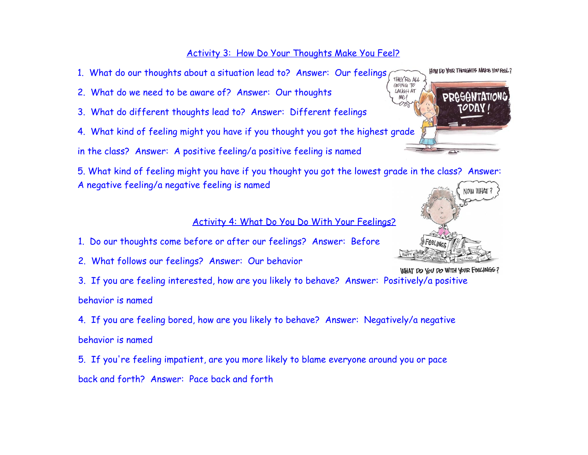## Activity 3: How Do Your Thoughts Make You Feel?

- 1. What do our thoughts about a situation lead to? Answer: Our feelings THEY'RE ALL
- 2. What do we need to be aware of? Answer: Our thoughts
- 3. What do different thoughts lead to? Answer: Different feelings
- 4. What kind of feeling might you have if you thought you got the highest grade

in the class? Answer: A positive feeling/a positive feeling is named

5. What kind of feeling might you have if you thought you got the lowest grade in the class? Answer: A negative feeling/a negative feeling is named

### Activity 4: What Do You Do With Your Feelings?

- 1. Do our thoughts come before or after our feelings? Answer: Before
- 2. What follows our feelings? Answer: Our behavior

3. If you are feeling interested, how are you likely to behave? Answer: Positively/a positive behavior is named

4. If you are feeling bored, how are you likely to behave? Answer: Negatively/a negative behavior is named

5. If you're feeling impatient, are you more likely to blame everyone around you or pace back and forth? Answer: Pace back and forth



HOW DO YOUR THOUGHTS MAKE YOU FEEL?



WHAT DO YOU DO WITH YOUR FEELINGS?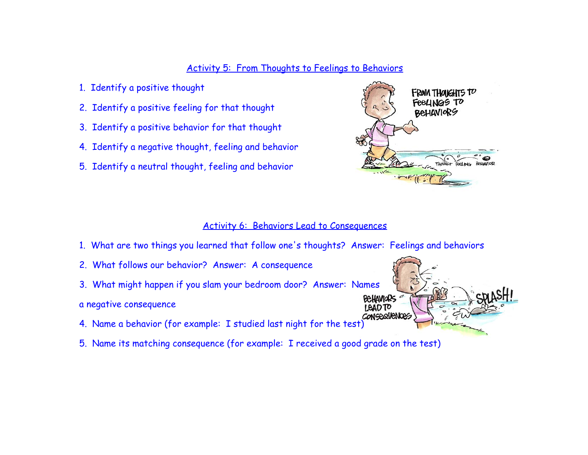#### Activity 5: From Thoughts to Feelings to Behaviors

- 1. Identify a positive thought
- 2. Identify a positive feeling for that thought
- 3. Identify a positive behavior for that thought
- 4. Identify a negative thought, feeling and behavior
- 5. Identify a neutral thought, feeling and behavior



#### Activity 6: Behaviors Lead to Consequences

- 1. What are two things you learned that follow one's thoughts? Answer: Feelings and behaviors
- 2. What follows our behavior? Answer: A consequence
- 3. What might happen if you slam your bedroom door? Answer: Names
- a negative consequence
- 4. Name a behavior (for example: I studied last night for the test)
- 5. Name its matching consequence (for example: I received a good grade on the test)

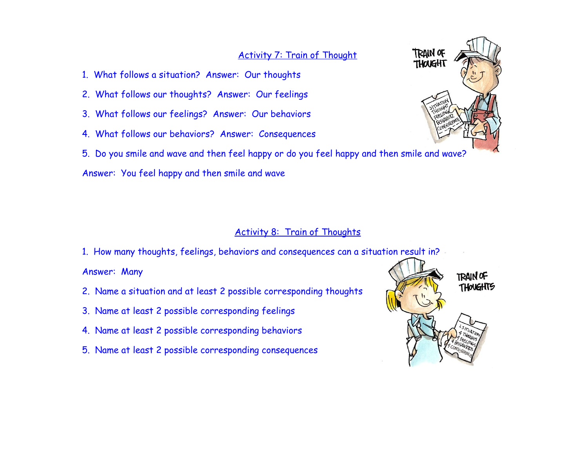### Activity 7: Train of Thought

- 1. What follows a situation? Answer: Our thoughts
- 2. What follows our thoughts? Answer: Our feelings
- 3. What follows our feelings? Answer: Our behaviors
- 4. What follows our behaviors? Answer: Consequences
- 5. Do you smile and wave and then feel happy or do you feel happy and then smile and wave?

Answer: You feel happy and then smile and wave

#### Activity 8: Train of Thoughts

1. How many thoughts, feelings, behaviors and consequences can a situation result in?

Answer: Many

- 2. Name a situation and at least 2 possible corresponding thoughts
- 3. Name at least 2 possible corresponding feelings
- 4. Name at least 2 possible corresponding behaviors
- 5. Name at least 2 possible corresponding consequences



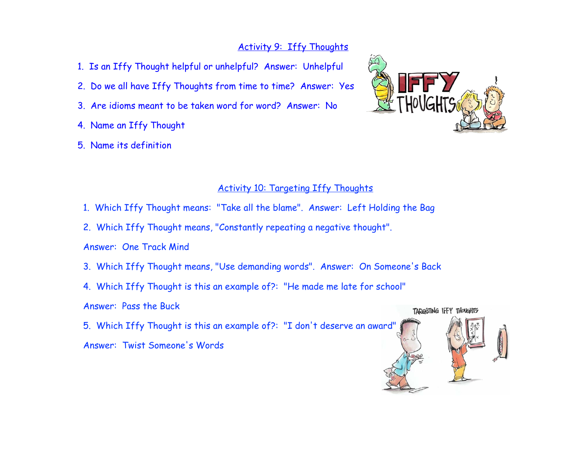## Activity 9: Iffy Thoughts

- 1. Is an Iffy Thought helpful or unhelpful? Answer: Unhelpful
- 2. Do we all have Iffy Thoughts from time to time? Answer: Yes
- 3. Are idioms meant to be taken word for word? Answer: No
- 4. Name an Iffy Thought
- 5. Name its definition



## Activity 10: Targeting Iffy Thoughts

- 1. Which Iffy Thought means: "Take all the blame". Answer: Left Holding the Bag
- 2. Which Iffy Thought means, "Constantly repeating a negative thought".

- 3. Which Iffy Thought means, "Use demanding words". Answer: On Someone's Back
- 4. Which Iffy Thought is this an example of?: "He made me late for school"
- Answer: Pass the Buck
- 5. Which Iffy Thought is this an example of?: "I don't deserve an award"
- Answer: Twist Someone's Words



Answer: One Track Mind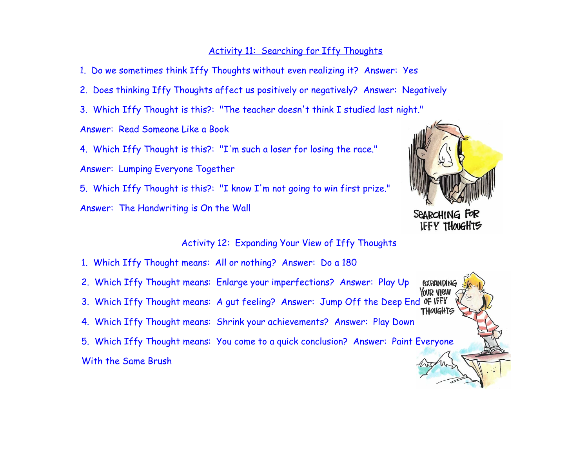#### Activity 11: Searching for Iffy Thoughts

1. Do we sometimes think Iffy Thoughts without even realizing it? Answer: Yes

- 2. Does thinking Iffy Thoughts affect us positively or negatively? Answer: Negatively
- 3. Which Iffy Thought is this?: "The teacher doesn't think I studied last night."

Answer: Read Someone Like a Book

4. Which Iffy Thought is this?: "I'm such a loser for losing the race." Answer: Lumping Everyone Together

5. Which Iffy Thought is this?: "I know I'm not going to win first prize." Answer: The Handwriting is On the Wall



SEARCHING FOR **IFFY THOUGHTS** 

YOUR VIEW

### Activity 12: Expanding Your View of Iffy Thoughts

- 1. Which Iffy Thought means: All or nothing? Answer: Do a 180
- 2. Which Iffy Thought means: Enlarge your imperfections? Answer: Play Up *<u>EXPANDING</u>*
- 3. Which Iffy Thought means: A gut feeling? Answer: Jump Off the Deep End OF IFFY<br>Thoughts
- 4. Which Iffy Thought means: Shrink your achievements? Answer: Play Down
- 5. Which Iffy Thought means: You come to a quick conclusion? Answer: Paint Everyone With the Same Brush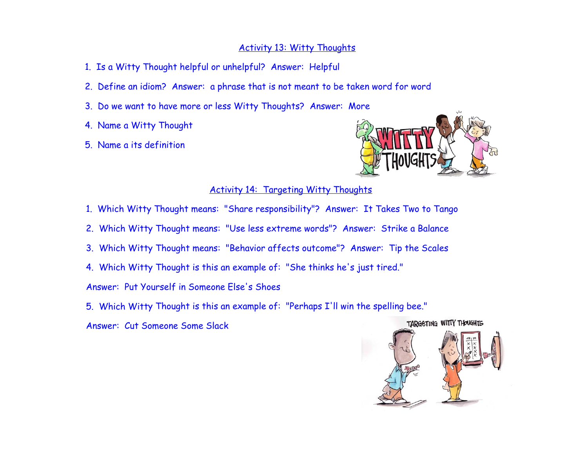### Activity 13: Witty Thoughts

- 1. Is a Witty Thought helpful or unhelpful? Answer: Helpful
- 2. Define an idiom? Answer: a phrase that is not meant to be taken word for word
- 3. Do we want to have more or less Witty Thoughts? Answer: More
- 4. Name a Witty Thought
- 5. Name a its definition



### Activity 14: Targeting Witty Thoughts

- 1. Which Witty Thought means: "Share responsibility"? Answer: It Takes Two to Tango
- 2. Which Witty Thought means: "Use less extreme words"? Answer: Strike a Balance
- 3. Which Witty Thought means: "Behavior affects outcome"? Answer: Tip the Scales
- 4. Which Witty Thought is this an example of: "She thinks he's just tired."

Answer: Put Yourself in Someone Else's Shoes

5. Which Witty Thought is this an example of: "Perhaps I'll win the spelling bee."

Answer: Cut Someone Some Slack

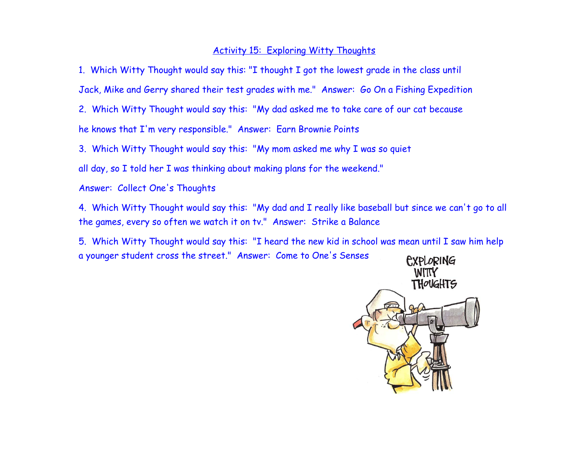#### Activity 15: Exploring Witty Thoughts

1. Which Witty Thought would say this: "I thought I got the lowest grade in the class until

Jack, Mike and Gerry shared their test grades with me." Answer: Go On a Fishing Expedition

2. Which Witty Thought would say this: "My dad asked me to take care of our cat because he knows that I'm very responsible." Answer: Earn Brownie Points

3. Which Witty Thought would say this: "My mom asked me why I was so quiet

all day, so I told her I was thinking about making plans for the weekend."

Answer: Collect One's Thoughts

4. Which Witty Thought would say this: "My dad and I really like baseball but since we can't go to all the games, every so often we watch it on tv." Answer: Strike a Balance

5. Which Witty Thought would say this: "I heard the new kid in school was mean until I saw him help a younger student cross the street." Answer: Come to One's Senses

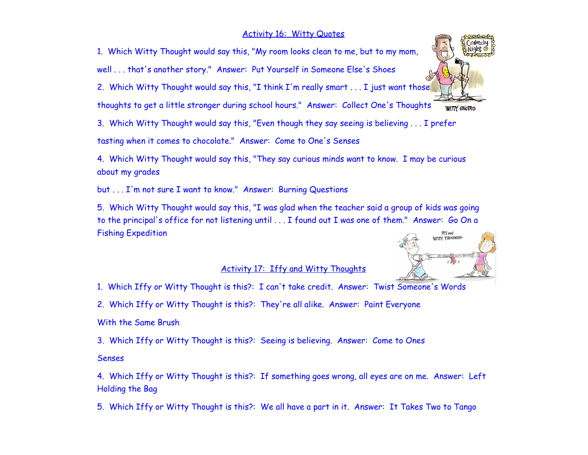#### Activity 16: Witty Quotes

1. Which Witty Thought would say this, "My room looks clean to me, but to my mom,

well . . . that's another story." Answer: Put Yourself in Someone Else's Shoes

2. Which Witty Thought would say this, "I think I'm really smart . . . I just want those

thoughts to get a little stronger during school hours." Answer: Collect One's Thoughts WITTY QUOTES

3. Which Witty Thought would say this, "Even though they say seeing is believing . . . I prefer

tasting when it comes to chocolate." Answer: Come to One's Senses

4. Which Witty Thought would say this, "They say curious minds want to know. I may be curious about my grades

but . . . I'm not sure I want to know." Answer: Burning Questions

5. Which Witty Thought would say this, "I was glad when the teacher said a group of kids was going to the principal's office for not listening until . . . I found out I was one of them." Answer: Go On a Fishing Expedition

### Activity 17: Iffy and Witty Thoughts

1. Which Iffy or Witty Thought is this?: I can't take credit. Answer: Twist Someone's Words

2. Which Iffy or Witty Thought is this?: They're all alike. Answer: Paint Everyone

With the Same Brush

3. Which Iffy or Witty Thought is this?: Seeing is believing. Answer: Come to Ones

#### Senses

4. Which Iffy or Witty Thought is this?: If something goes wrong, all eyes are on me. Answer: Left Holding the Bag

5. Which Iffy or Witty Thought is this?: We all have a part in it. Answer: It Takes Two to Tango



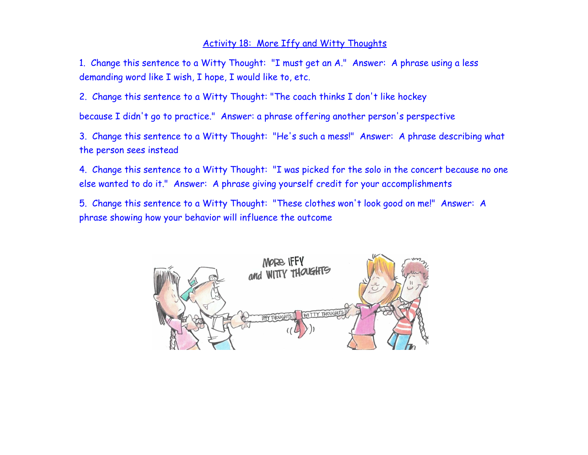### Activity 18: More Iffy and Witty Thoughts

1. Change this sentence to a Witty Thought: "I must get an A." Answer: A phrase using a less demanding word like I wish, I hope, I would like to, etc.

2. Change this sentence to a Witty Thought: "The coach thinks I don't like hockey

because I didn't go to practice." Answer: a phrase offering another person's perspective

3. Change this sentence to a Witty Thought: "He's such a mess!" Answer: A phrase describing what the person sees instead

4. Change this sentence to a Witty Thought: "I was picked for the solo in the concert because no one else wanted to do it." Answer: A phrase giving yourself credit for your accomplishments

5. Change this sentence to a Witty Thought: "These clothes won't look good on me!" Answer: A phrase showing how your behavior will influence the outcome